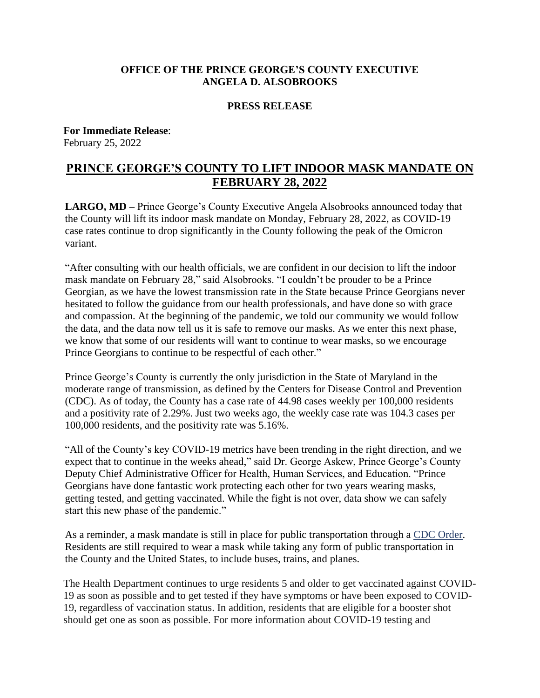## **OFFICE OF THE PRINCE GEORGE'S COUNTY EXECUTIVE ANGELA D. ALSOBROOKS**

## **PRESS RELEASE**

## **For Immediate Release**: February 25, 2022

## **PRINCE GEORGE'S COUNTY TO LIFT INDOOR MASK MANDATE ON FEBRUARY 28, 2022**

**LARGO, MD –** Prince George's County Executive Angela Alsobrooks announced today that the County will lift its indoor mask mandate on Monday, February 28, 2022, as COVID-19 case rates continue to drop significantly in the County following the peak of the Omicron variant.

"After consulting with our health officials, we are confident in our decision to lift the indoor mask mandate on February 28," said Alsobrooks. "I couldn't be prouder to be a Prince Georgian, as we have the lowest transmission rate in the State because Prince Georgians never hesitated to follow the guidance from our health professionals, and have done so with grace and compassion. At the beginning of the pandemic, we told our community we would follow the data, and the data now tell us it is safe to remove our masks. As we enter this next phase, we know that some of our residents will want to continue to wear masks, so we encourage Prince Georgians to continue to be respectful of each other."

Prince George's County is currently the only jurisdiction in the State of Maryland in the moderate range of transmission, as defined by the Centers for Disease Control and Prevention (CDC). As of today, the County has a case rate of 44.98 cases weekly per 100,000 residents and a positivity rate of 2.29%. Just two weeks ago, the weekly case rate was 104.3 cases per 100,000 residents, and the positivity rate was 5.16%.

"All of the County's key COVID-19 metrics have been trending in the right direction, and we expect that to continue in the weeks ahead," said Dr. George Askew, Prince George's County Deputy Chief Administrative Officer for Health, Human Services, and Education. "Prince Georgians have done fantastic work protecting each other for two years wearing masks, getting tested, and getting vaccinated. While the fight is not over, data show we can safely start this new phase of the pandemic."

As a reminder, a mask mandate is still in place for public transportation through a [CDC Order.](https://www.cdc.gov/coronavirus/2019-ncov/travelers/face-masks-public-transportation.html) Residents are still required to wear a mask while taking any form of public transportation in the County and the United States, to include buses, trains, and planes.

The Health Department continues to urge residents 5 and older to get vaccinated against COVID-19 as soon as possible and to get tested if they have symptoms or have been exposed to COVID-19, regardless of vaccination status. In addition, residents that are eligible for a booster shot should get one as soon as possible. For more information about COVID-19 testing and